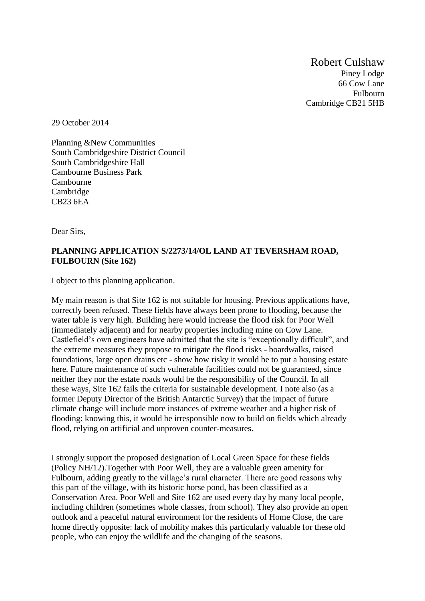Robert Culshaw Piney Lodge 66 Cow Lane Fulbourn Cambridge CB21 5HB

29 October 2014

Planning &New Communities South Cambridgeshire District Council South Cambridgeshire Hall Cambourne Business Park Cambourne **Cambridge** CB23 6EA

Dear Sirs,

## **PLANNING APPLICATION S/2273/14/OL LAND AT TEVERSHAM ROAD, FULBOURN (Site 162)**

I object to this planning application.

My main reason is that Site 162 is not suitable for housing. Previous applications have, correctly been refused. These fields have always been prone to flooding, because the water table is very high. Building here would increase the flood risk for Poor Well (immediately adjacent) and for nearby properties including mine on Cow Lane. Castlefield's own engineers have admitted that the site is "exceptionally difficult", and the extreme measures they propose to mitigate the flood risks - boardwalks, raised foundations, large open drains etc - show how risky it would be to put a housing estate here. Future maintenance of such vulnerable facilities could not be guaranteed, since neither they nor the estate roads would be the responsibility of the Council. In all these ways, Site 162 fails the criteria for sustainable development. I note also (as a former Deputy Director of the British Antarctic Survey) that the impact of future climate change will include more instances of extreme weather and a higher risk of flooding: knowing this, it would be irresponsible now to build on fields which already flood, relying on artificial and unproven counter-measures.

I strongly support the proposed designation of Local Green Space for these fields (Policy NH/12).Together with Poor Well, they are a valuable green amenity for Fulbourn, adding greatly to the village's rural character. There are good reasons why this part of the village, with its historic horse pond, has been classified as a Conservation Area. Poor Well and Site 162 are used every day by many local people, including children (sometimes whole classes, from school). They also provide an open outlook and a peaceful natural environment for the residents of Home Close, the care home directly opposite: lack of mobility makes this particularly valuable for these old people, who can enjoy the wildlife and the changing of the seasons.